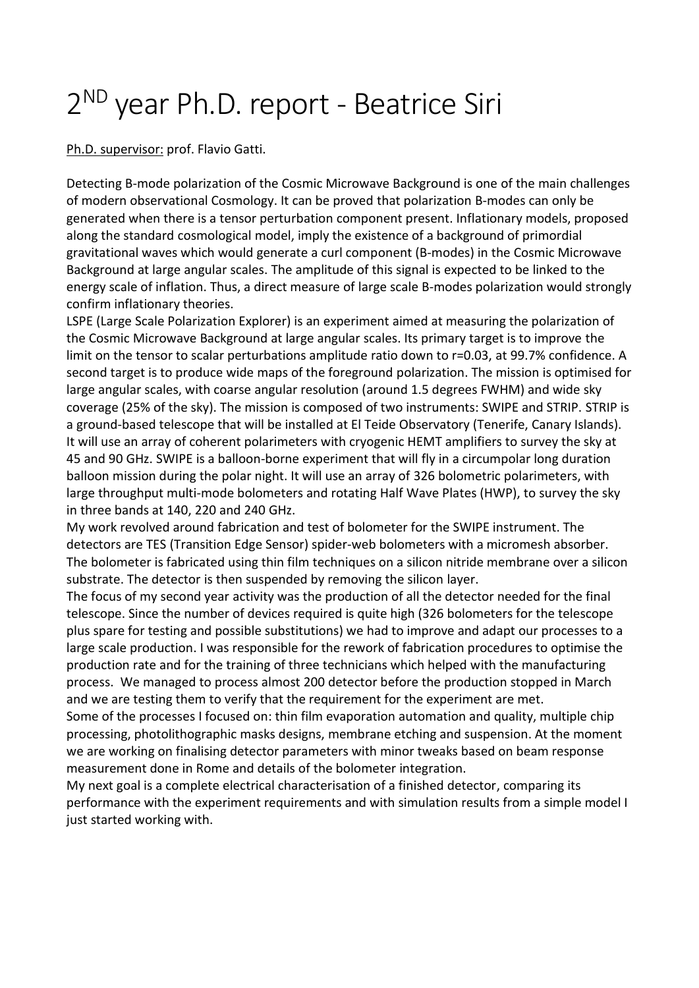## 2 ND year Ph.D. report - Beatrice Siri

Ph.D. supervisor: prof. Flavio Gatti.

Detecting B-mode polarization of the Cosmic Microwave Background is one of the main challenges of modern observational Cosmology. It can be proved that polarization B-modes can only be generated when there is a tensor perturbation component present. Inflationary models, proposed along the standard cosmological model, imply the existence of a background of primordial gravitational waves which would generate a curl component (B-modes) in the Cosmic Microwave Background at large angular scales. The amplitude of this signal is expected to be linked to the energy scale of inflation. Thus, a direct measure of large scale B-modes polarization would strongly confirm inflationary theories.

LSPE (Large Scale Polarization Explorer) is an experiment aimed at measuring the polarization of the Cosmic Microwave Background at large angular scales. Its primary target is to improve the limit on the tensor to scalar perturbations amplitude ratio down to r=0.03, at 99.7% confidence. A second target is to produce wide maps of the foreground polarization. The mission is optimised for large angular scales, with coarse angular resolution (around 1.5 degrees FWHM) and wide sky coverage (25% of the sky). The mission is composed of two instruments: SWIPE and STRIP. STRIP is a ground-based telescope that will be installed at El Teide Observatory (Tenerife, Canary Islands). It will use an array of coherent polarimeters with cryogenic HEMT amplifiers to survey the sky at 45 and 90 GHz. SWIPE is a balloon-borne experiment that will fly in a circumpolar long duration balloon mission during the polar night. It will use an array of 326 bolometric polarimeters, with large throughput multi-mode bolometers and rotating Half Wave Plates (HWP), to survey the sky in three bands at 140, 220 and 240 GHz.

My work revolved around fabrication and test of bolometer for the SWIPE instrument. The detectors are TES (Transition Edge Sensor) spider-web bolometers with a micromesh absorber. The bolometer is fabricated using thin film techniques on a silicon nitride membrane over a silicon substrate. The detector is then suspended by removing the silicon layer.

The focus of my second year activity was the production of all the detector needed for the final telescope. Since the number of devices required is quite high (326 bolometers for the telescope plus spare for testing and possible substitutions) we had to improve and adapt our processes to a large scale production. I was responsible for the rework of fabrication procedures to optimise the production rate and for the training of three technicians which helped with the manufacturing process. We managed to process almost 200 detector before the production stopped in March and we are testing them to verify that the requirement for the experiment are met.

Some of the processes I focused on: thin film evaporation automation and quality, multiple chip processing, photolithographic masks designs, membrane etching and suspension. At the moment we are working on finalising detector parameters with minor tweaks based on beam response measurement done in Rome and details of the bolometer integration.

My next goal is a complete electrical characterisation of a finished detector, comparing its performance with the experiment requirements and with simulation results from a simple model I just started working with.